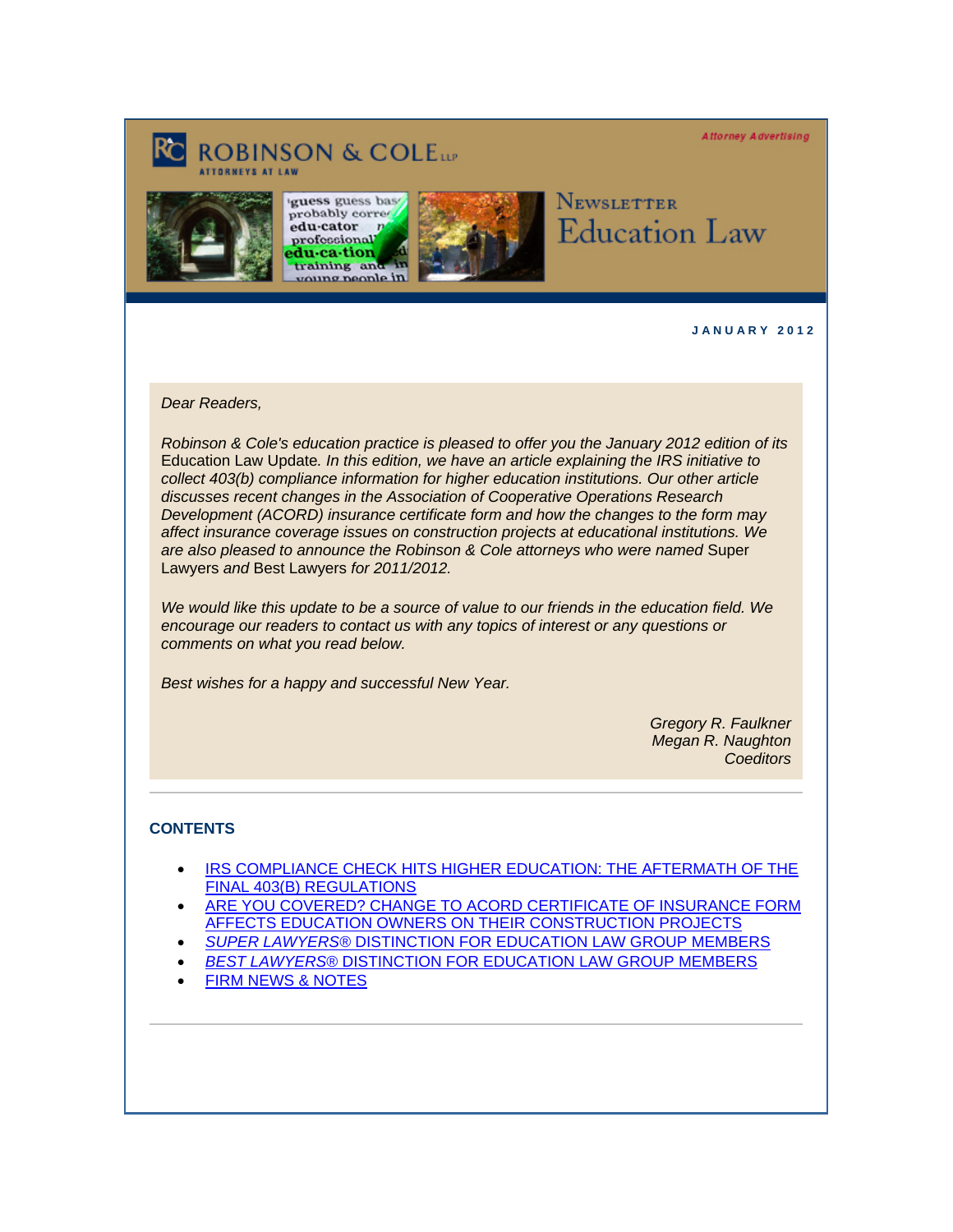**Attorney Advertising** 

# **ROBINSON & COLETT**







Newsletter **Education Law** 

**J A N U A R Y 2 0 1 2** 

### *Dear Readers,*

*Robinson & Cole's education practice is pleased to offer you the January 2012 edition of its* Education Law Update*. In this edition, we have an article explaining the IRS initiative to collect 403(b) compliance information for higher education institutions. Our other article discusses recent changes in the Association of Cooperative Operations Research Development (ACORD) insurance certificate form and how the changes to the form may affect insurance coverage issues on construction projects at educational institutions. We are also pleased to announce the Robinson & Cole attorneys who were named* Super Lawyers *and* Best Lawyers *for 2011/2012.*

*We would like this update to be a source of value to our friends in the education field. We encourage our readers to contact us with any topics of interest or any questions or comments on what you read below.*

*Best wishes for a happy and successful New Year.* 

*Gregory R. Faulkner Megan R. Naughton Coeditors*

## **CONTENTS**

- [IRS COMPLIANCE CHECK HITS HIGHER EDUCATION: THE AFTERMATH OF THE](#page-1-0) FINAL 403(B) REGULATIONS
- [ARE YOU COVERED? CHANGE TO ACORD CERTIFICATE OF INSURANCE FORM](#page-1-0)  AFFECTS EDUCATION OWNERS ON THEIR CONSTRUCTION PROJECTS
- *SUPER LAWYERS®* [DISTINCTION FOR EDUCATION LAW GROUP MEMBERS](#page-1-0)
- *BEST LAWYERS*[® DISTINCTION FOR EDUCATION LAW GROUP MEMBERS](#page-2-0)
- [FIRM NEWS & NOTES](#page-3-0)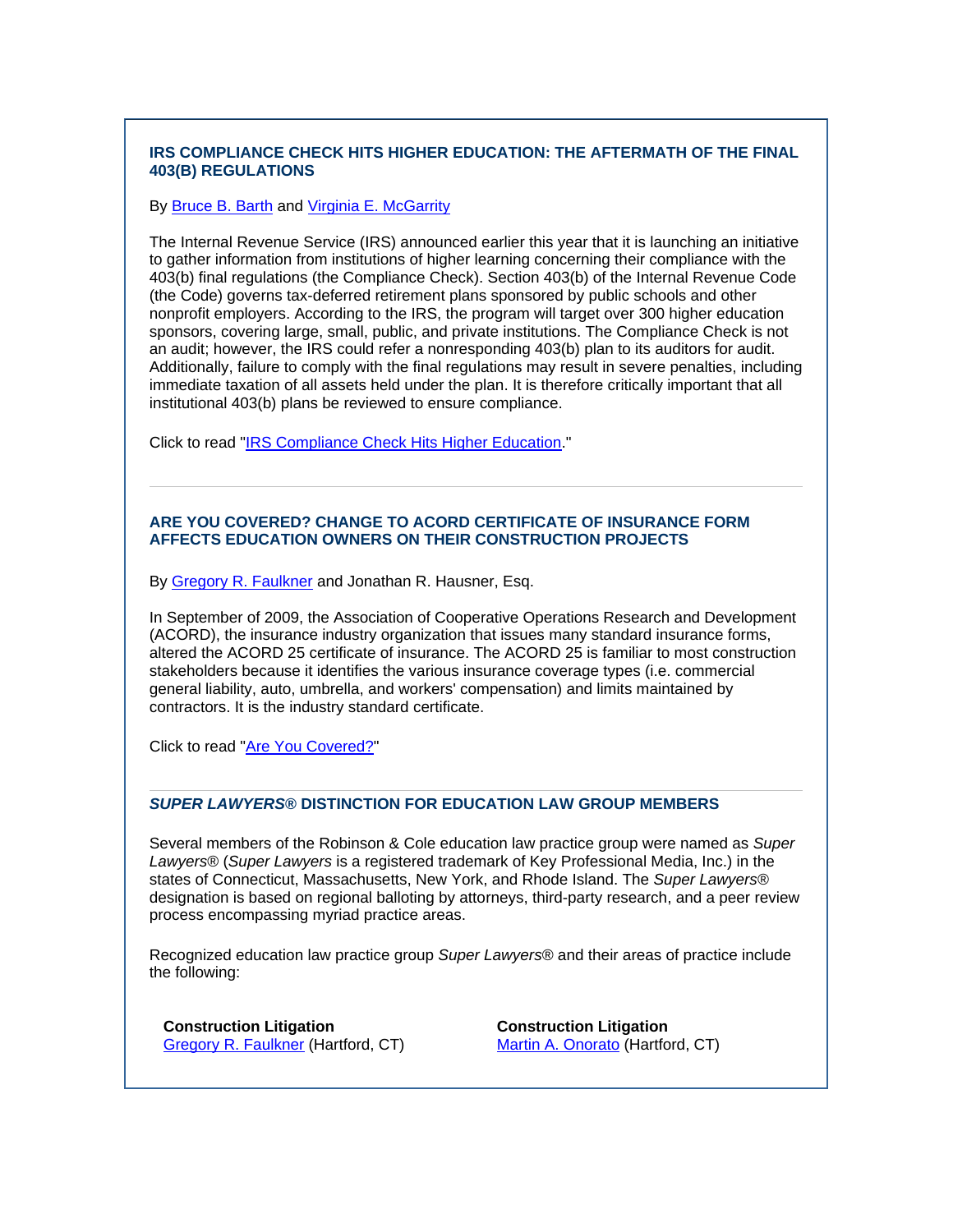## <span id="page-1-0"></span>**IRS COMPLIANCE CHECK HITS HIGHER EDUCATION: THE AFTERMATH OF THE FINAL 403(B) REGULATIONS**

#### By **Bruce B. Barth and [Virginia E. McGarrity](http://www.rc.com/Bio.cfm?eID=1296)**

The Internal Revenue Service (IRS) announced earlier this year that it is launching an initiative to gather information from institutions of higher learning concerning their compliance with the 403(b) final regulations (the Compliance Check). Section 403(b) of the Internal Revenue Code (the Code) governs tax-deferred retirement plans sponsored by public schools and other nonprofit employers. According to the IRS, the program will target over 300 higher education sponsors, covering large, small, public, and private institutions. The Compliance Check is not an audit; however, the IRS could refer a nonresponding 403(b) plan to its auditors for audit. Additionally, failure to comply with the final regulations may result in severe penalties, including immediate taxation of all assets held under the plan. It is therefore critically important that all institutional 403(b) plans be reviewed to ensure compliance.

Click to read "[IRS Compliance Check Hits Higher Education.](http://www.rc.com/documents/IRS_Compliance_Check_Hits_HigherEd.pdf)"

## **ARE YOU COVERED? CHANGE TO ACORD CERTIFICATE OF INSURANCE FORM AFFECTS EDUCATION OWNERS ON THEIR CONSTRUCTION PROJECTS**

By [Gregory R. Faulkner](http://www.rc.com/Bio.cfm?eID=1432) and Jonathan R. Hausner, Esq.

In September of 2009, the Association of Cooperative Operations Research and Development (ACORD), the insurance industry organization that issues many standard insurance forms, altered the ACORD 25 certificate of insurance. The ACORD 25 is familiar to most construction stakeholders because it identifies the various insurance coverage types (i.e. commercial general liability, auto, umbrella, and workers' compensation) and limits maintained by contractors. It is the industry standard certificate.

Click to read "[Are You Covered?](http://www.rc.com/documents/Change_to_ACORD_Certificate_of_Insurance_Form.pdf)"

## *SUPER LAWYERS***® DISTINCTION FOR EDUCATION LAW GROUP MEMBERS**

Several members of the Robinson & Cole education law practice group were named as *Super Lawyers*® (*Super Lawyers* is a registered trademark of Key Professional Media, Inc.) in the states of Connecticut, Massachusetts, New York, and Rhode Island. The *Super Lawyers*® designation is based on regional balloting by attorneys, third-party research, and a peer review process encompassing myriad practice areas.

Recognized education law practice group *Super Lawyers*® and their areas of practice include the following:

**Construction Litigation**  [Gregory R. Faulkner](http://www.rc.com/Bio.cfm?eID=1432) (Hartford, CT)

**Construction Litigation**  [Martin A. Onorato](http://www.rc.com/Bio.cfm?eID=1435) (Hartford, CT)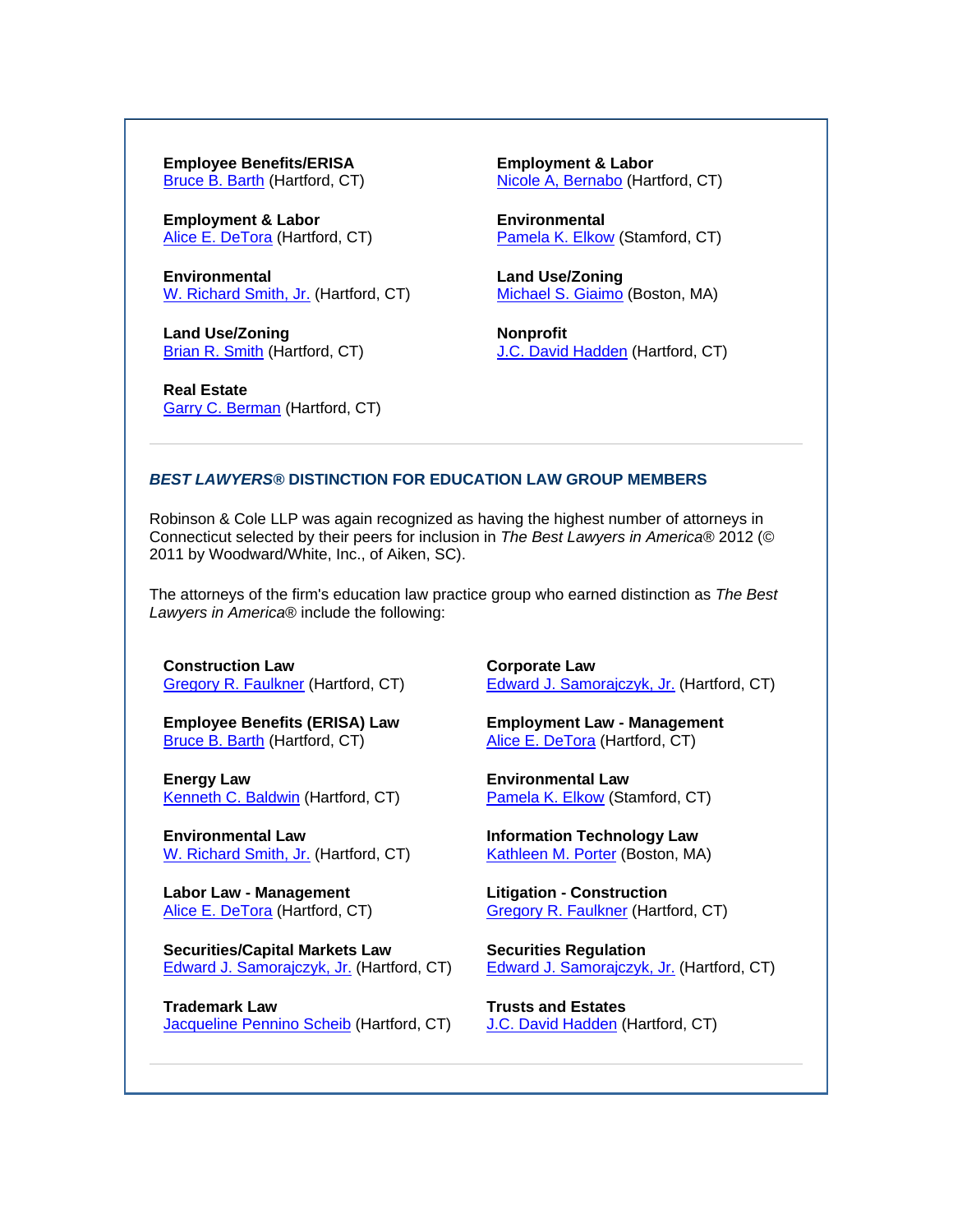<span id="page-2-0"></span>**Employee Benefits/ERISA**  [Bruce B. Barth](http://www.rc.com/Bio.cfm?eID=759) (Hartford, CT)

**Employment & Labor**  [Alice E. DeTora](http://www.rc.com/Bio.cfm?eID=717) (Hartford, CT)

**Environmental**  [W. Richard Smith, Jr.](http://www.rc.com/Bio.cfm?eID=709) (Hartford, CT)

**Land Use/Zoning**  [Brian R. Smith](http://www.rc.com/Bio.cfm?eID=748) (Hartford, CT)

**Real Estate**  [Garry C. Berman](http://www.rc.com/Bio.cfm?eID=1430) (Hartford, CT) **Employment & Labor**  [Nicole A, Bernabo](http://www.rc.com/Bio.cfm?eID=1347) (Hartford, CT)

**Environmental** [Pamela K. Elkow](http://www.rc.com/Bio.cfm?eID=906) (Stamford, CT)

**Land Use/Zoning**  [Michael S. Giaimo](http://www.rc.com/Bio.cfm?eID=773) (Boston, MA)

**Nonprofit**  [J.C. David Hadden](http://www.rc.com/Bio.cfm?eID=720) (Hartford, CT)

#### *BEST LAWYERS®* **DISTINCTION FOR EDUCATION LAW GROUP MEMBERS**

Robinson & Cole LLP was again recognized as having the highest number of attorneys in Connecticut selected by their peers for inclusion in *The Best Lawyers in America®* 2012 (© 2011 by Woodward/White, Inc., of Aiken, SC).

The attorneys of the firm's education law practice group who earned distinction as *The Best Lawyers in America*® include the following:

**Construction Law**  [Gregory R. Faulkner](http://www.rc.com/Bio.cfm?eID=1432) (Hartford, CT)

**Employee Benefits (ERISA) Law**  [Bruce B. Barth](http://www.rc.com/Bio.cfm?eID=759) (Hartford, CT)

**Energy Law**  [Kenneth C. Baldwin](http://www.rc.com/Bio.cfm?eID=777) (Hartford, CT)

**Environmental Law**  [W. Richard Smith, Jr.](http://www.rc.com/Bio.cfm?eID=709) (Hartford, CT)

**Labor Law - Management**  [Alice E. DeTora](http://www.rc.com/Bio.cfm?eID=717) (Hartford, CT)

**Securities/Capital Markets Law**  [Edward J. Samorajczyk, Jr.](http://www.rc.com/Bio.cfm?eID=744) (Hartford, CT)

**Trademark Law**  Jacqueline Pennino Scheib</u> (Hartford, CT) **Corporate Law**  [Edward J. Samorajczyk, Jr.](http://www.rc.com/Bio.cfm?eID=744) (Hartford, CT)

**Employment Law - Management**  [Alice E. DeTora](http://www.rc.com/Bio.cfm?eID=717) (Hartford, CT)

**Environmental Law**  [Pamela K. Elkow](http://www.rc.com/Bio.cfm?eID=906) (Stamford, CT)

**Information Technology Law**  [Kathleen M. Porter](http://www.rc.com/Bio.cfm?eID=769) (Boston, MA)

**Litigation - Construction**  [Gregory R. Faulkner](http://www.rc.com/Bio.cfm?eID=1432) (Hartford, CT)

**Securities Regulation**  [Edward J. Samorajczyk, Jr.](http://www.rc.com/Bio.cfm?eID=744) (Hartford, CT)

**Trusts and Estates**  [J.C. David Hadden](http://www.rc.com/Bio.cfm?eID=720) (Hartford, CT)